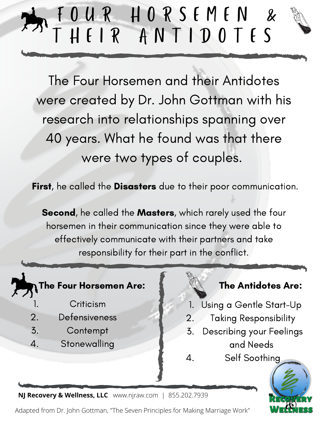### F O U R H O R S E M E N & T H E I R A N T I D O T E S

The Four Horsemen and their Antidotes were created by Dr. John Gottman with his research into relationships spanning over 40 years. What he found was that there were two types of couples.

First, he called the Disasters due to their poor communication.

Second, he called the Masters, which rarely used the four horsemen in their communication since they were able to effectively communicate with their partners and take responsibility for their part in the conflict.

4.

### The Four Horsemen Are:  $\begin{array}{cc} \text{The Antidotes Area:} \end{array}$

- **Criticism** 1.
- Defensiveness 2.
- **Contempt** 3.
- **Stonewalling** 4.

- Using a Gentle Start-Up 1.
- Taking Responsibility 2.
- Describing your Feelings and Needs 3.

Self Soothing



**NJ Recovery & Wellness, LLC** www.njraw.com | 855.202.7939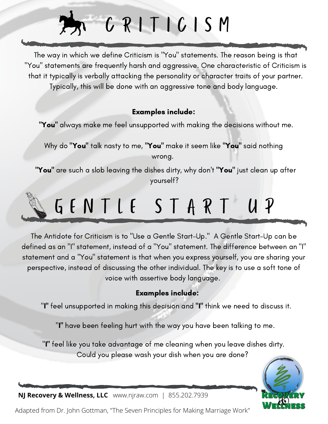### C R I T I C I S M

The way in which we define Criticism is "You" statements. The reason being is that "You" statements are frequently harsh and aggressive. One characteristic of Criticism is that it typically is verbally attacking the personality or character traits of your partner. Typically, this will be done with an aggressive tone and body language.

#### Examples include:

"You" always make me feel unsupported with making the decisions without me.

Why do "You" talk nasty to me, "You" make it seem like "You" said nothing wrong.

"You" are such a slob leaving the dishes dirty, why don't "You" just clean up after yourself?

# GENTLE START UP

The Antidote for Criticism is to "Use a Gentle Start-Up." A Gentle Start-Up can be defined as an "I" statement, instead of a "You" statement. The difference between an "I" statement and a "You" statement is that when you express yourself, you are sharing your perspective, instead of discussing the other individual. The key is to use a soft tone of voice with assertive body language.

#### Examples include:

"I" feel unsupported in making this decision and "I" think we need to discuss it.

"I" have been feeling hurt with the way you have been talking to me.

"I" feel like you take advantage of me cleaning when you leave dishes dirty. Could you please wash your dish when you are done?



**NJ Recovery & Wellness, LLC** www.njraw.com | 855.202.7939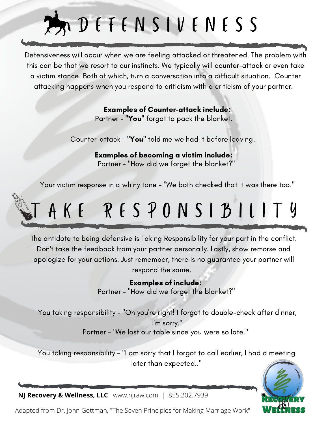# D E F E N S I V E N E S S

Defensiveness will occur when we are feeling attacked or threatened. The problem with this can be that we resort to our instincts. We typically will counter-attack or even take a victim stance. Both of which, turn a conversation into a difficult situation. Counter attacking happens when you respond to criticism with a criticism of your partner.

#### Examples of Counter-attack include:

Partner - "You" forgot to pack the blanket.

Counter-attack - "You" told me we had it before leaving.

Examples of becoming a victim include: Partner - "How did we forget the blanket?"

Your victim response in a whiny tone - "We both checked that it was there too."

### A K E R E S P O N S I B I L I T Y

The antidote to being defensive is Taking Responsibility for your part in the conflict. Don't take the feedback from your partner personally. Lastly, show remorse and apologize for your actions. Just remember, there is no guarantee your partner will respond the same.

#### Examples of include:

Partner - "How did we forget the blanket?"

You taking responsibility - "Oh you're right! I forgot to double-check after dinner, I'm sorry." Partner - "We lost our table since you were so late."

You taking responsibility - "I am sorry that I forgot to call earlier, I had a meeting later than expected.."



**NJ Recovery & Wellness, LLC** www.njraw.com | 855.202.7939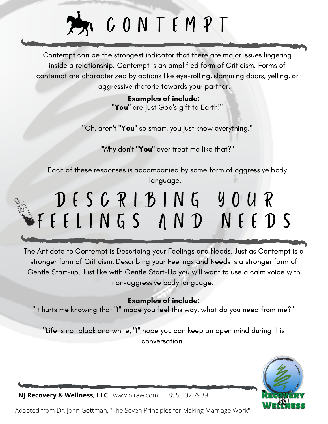# **PACONTEMPT**

Contempt can be the strongest indicator that there are major issues lingering inside a relationship. Contempt is an amplified form of Criticism. Forms of contempt are characterized by actions like eye-rolling, slamming doors, yelling, or aggressive rhetoric towards your partner.

#### Examples of include: "You" are just God's gift to Earth!"

"Oh, aren't "You" so smart, you just know everything."

"Why don't "You" ever treat me like that?"

Each of these responses is accompanied by some form of aggressive body language.

### D E S C R I B I N G Y O U R F E E L I N G S A N D N E E D S

The Antidote to Contempt is Describing your Feelings and Needs. Just as Contempt is a stronger form of Criticism, Describing your Feelings and Needs is a stronger form of Gentle Start-up. Just like with Gentle Start-Up you will want to use a calm voice with non-aggressive body language.

#### Examples of include:

"It hurts me knowing that "I" made you feel this way, what do you need from me?"

"Life is not black and white, "I" hope you can keep an open mind during this conversation.



**NJ Recovery & Wellness, LLC** www.njraw.com | 855.202.7939